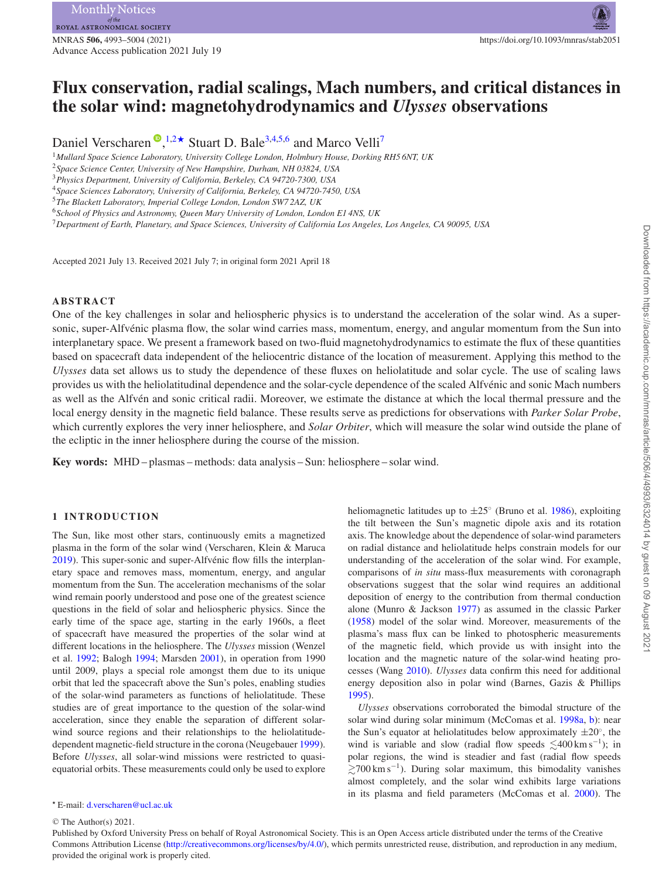MNRAS **506,** 4993–5004 (2021) https://doi.org/10.1093/mnras/stab2051 Advance Access publication 2021 July 19

# **Flux conservation, radial scalings, Mach numbers, and critical distances in the solar wind: magnetohydrodynamics and** *Ulysses* **observations**

Daniel Verscharen<sup>®</sup>[,](http://orcid.org/0000-0002-0497-1096)<sup>[1](#page-0-0)[,2](#page-0-1)★</sup> Stuart D. Bale<sup>[3,](#page-0-3)[4,](#page-0-4)[5,](#page-0-5)[6](#page-0-6)</sup> and Marco Velli<sup>7</sup>

<span id="page-0-0"></span><sup>1</sup>*Mullard Space Science Laboratory, University College London, Holmbury House, Dorking RH5 6NT, UK*

<span id="page-0-3"></span><sup>3</sup>*Physics Department, University of California, Berkeley, CA 94720-7300, USA*

<span id="page-0-4"></span><sup>4</sup>*Space Sciences Laboratory, University of California, Berkeley, CA 94720-7450, USA*

<span id="page-0-6"></span><sup>6</sup>*School of Physics and Astronomy, Queen Mary University of London, London E1 4NS, UK*

<span id="page-0-7"></span><sup>7</sup>*Department of Earth, Planetary, and Space Sciences, University of California Los Angeles, Los Angeles, CA 90095, USA*

Accepted 2021 July 13. Received 2021 July 7; in original form 2021 April 18

## **ABSTRACT**

One of the key challenges in solar and heliospheric physics is to understand the acceleration of the solar wind. As a supersonic, super-Alfvénic plasma flow, the solar wind carries mass, momentum, energy, and angular momentum from the Sun into interplanetary space. We present a framework based on two-fluid magnetohydrodynamics to estimate the flux of these quantities based on spacecraft data independent of the heliocentric distance of the location of measurement. Applying this method to the *Ulysses* data set allows us to study the dependence of these fluxes on heliolatitude and solar cycle. The use of scaling laws provides us with the heliolatitudinal dependence and the solar-cycle dependence of the scaled Alfvenic and sonic Mach numbers ´ as well as the Alfvén and sonic critical radii. Moreover, we estimate the distance at which the local thermal pressure and the local energy density in the magnetic field balance. These results serve as predictions for observations with *Parker Solar Probe*, which currently explores the very inner heliosphere, and *Solar Orbiter*, which will measure the solar wind outside the plane of the ecliptic in the inner heliosphere during the course of the mission.

**Key words:** MHD – plasmas – methods: data analysis – Sun: heliosphere – solar wind.

## **1 INTRODUCTION**

The Sun, like most other stars, continuously emits a magnetized plasma in the form of the solar wind (Verscharen, Klein & Maruca [2019\)](#page-11-0). This super-sonic and super-Alfvénic flow fills the interplanetary space and removes mass, momentum, energy, and angular momentum from the Sun. The acceleration mechanisms of the solar wind remain poorly understood and pose one of the greatest science questions in the field of solar and heliospheric physics. Since the early time of the space age, starting in the early 1960s, a fleet of spacecraft have measured the properties of the solar wind at different locations in the heliosphere. The *Ulysses* mission (Wenzel et al. [1992;](#page-11-1) Balogh [1994;](#page-10-0) Marsden [2001\)](#page-10-1), in operation from 1990 until 2009, plays a special role amongst them due to its unique orbit that led the spacecraft above the Sun's poles, enabling studies of the solar-wind parameters as functions of heliolatitude. These studies are of great importance to the question of the solar-wind acceleration, since they enable the separation of different solarwind source regions and their relationships to the heliolatitudedependent magnetic-field structure in the corona (Neugebauer [1999\)](#page-11-2). Before *Ulysses*, all solar-wind missions were restricted to quasiequatorial orbits. These measurements could only be used to explore heliomagnetic latitudes up to  $\pm 25^\circ$  (Bruno et al. [1986\)](#page-10-2), exploiting the tilt between the Sun's magnetic dipole axis and its rotation axis. The knowledge about the dependence of solar-wind parameters on radial distance and heliolatitude helps constrain models for our understanding of the acceleration of the solar wind. For example, comparisons of *in situ* mass-flux measurements with coronagraph observations suggest that the solar wind requires an additional deposition of energy to the contribution from thermal conduction alone (Munro & Jackson [1977\)](#page-11-3) as assumed in the classic Parker [\(1958\)](#page-11-4) model of the solar wind. Moreover, measurements of the plasma's mass flux can be linked to photospheric measurements of the magnetic field, which provide us with insight into the location and the magnetic nature of the solar-wind heating processes (Wang [2010\)](#page-11-5). *Ulysses* data confirm this need for additional energy deposition also in polar wind (Barnes, Gazis & Phillips [1995\)](#page-10-3).

*Ulysses* observations corroborated the bimodal structure of the solar wind during solar minimum (McComas et al. [1998a,](#page-10-4) [b\)](#page-10-5): near the Sun's equator at heliolatitudes below approximately  $\pm 20^\circ$ , the wind is variable and slow (radial flow speeds  $\lesssim$ 400 km s<sup>-1</sup>); in polar regions, the wind is steadier and fast (radial flow speeds  $\gtrsim$ 700 km s<sup>-1</sup>). During solar maximum, this bimodality vanishes almost completely, and the solar wind exhibits large variations in its plasma and field parameters (McComas et al. [2000\)](#page-10-6). The

<sup>C</sup> The Author(s) 2021.

Published by Oxford University Press on behalf of Royal Astronomical Society. This is an Open Access article distributed under the terms of the Creative Commons Attribution License [\(http://creativecommons.org/licenses/by/4.0/\)](http://creativecommons.org/licenses/by/4.0/), which permits unrestricted reuse, distribution, and reproduction in any medium, provided the original work is properly cited.

<span id="page-0-1"></span><sup>2</sup>*Space Science Center, University of New Hampshire, Durham, NH 03824, USA*

<span id="page-0-5"></span><sup>5</sup>*The Blackett Laboratory, Imperial College London, London SW7 2AZ, UK*

<span id="page-0-2"></span>*<sup>-</sup>* E-mail: [d.verscharen@ucl.ac.uk](mailto:d.verscharen@ucl.ac.uk)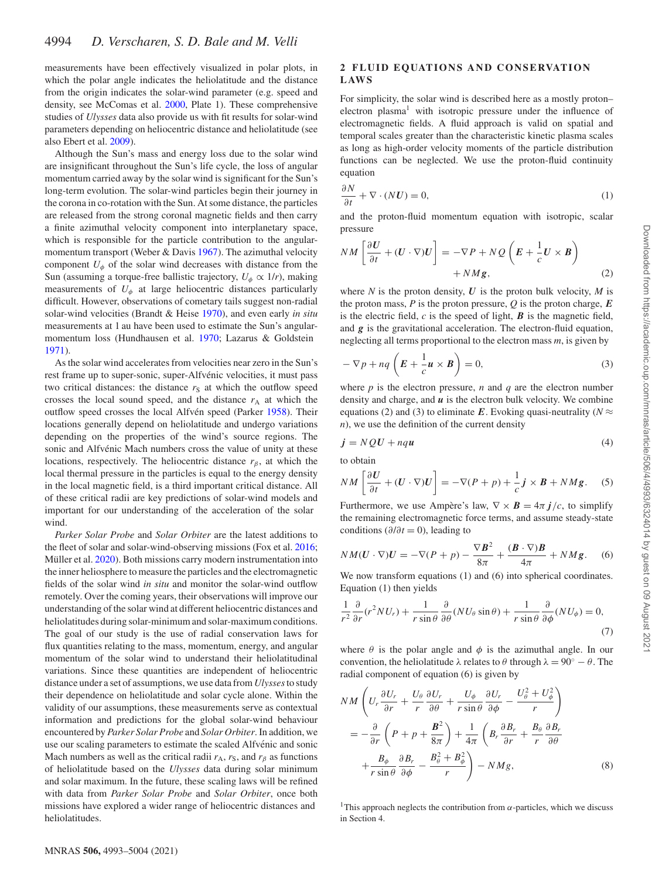measurements have been effectively visualized in polar plots, in which the polar angle indicates the heliolatitude and the distance from the origin indicates the solar-wind parameter (e.g. speed and density, see McComas et al. [2000,](#page-10-6) Plate 1). These comprehensive studies of *Ulysses* data also provide us with fit results for solar-wind parameters depending on heliocentric distance and heliolatitude (see also Ebert et al. [2009\)](#page-10-7).

Although the Sun's mass and energy loss due to the solar wind are insignificant throughout the Sun's life cycle, the loss of angular momentum carried away by the solar wind is significant for the Sun's long-term evolution. The solar-wind particles begin their journey in the corona in co-rotation with the Sun. At some distance, the particles are released from the strong coronal magnetic fields and then carry a finite azimuthal velocity component into interplanetary space, which is responsible for the particle contribution to the angularmomentum transport (Weber & Davis [1967\)](#page-11-6). The azimuthal velocity component  $U_{\phi}$  of the solar wind decreases with distance from the Sun (assuming a torque-free ballistic trajectory,  $U_{\phi} \propto 1/r$ ), making measurements of  $U_{\phi}$  at large heliocentric distances particularly difficult. However, observations of cometary tails suggest non-radial solar-wind velocities (Brandt & Heise [1970\)](#page-10-8), and even early *in situ* measurements at 1 au have been used to estimate the Sun's angular[momentum loss \(Hundhausen et al.](#page-10-10) [1970;](#page-10-9) Lazarus & Goldstein 1971).

As the solar wind accelerates from velocities near zero in the Sun's rest frame up to super-sonic, super-Alfvénic velocities, it must pass two critical distances: the distance  $r<sub>S</sub>$  at which the outflow speed crosses the local sound speed, and the distance  $r_A$  at which the outflow speed crosses the local Alfvén speed (Parker [1958\)](#page-11-4). Their locations generally depend on heliolatitude and undergo variations depending on the properties of the wind's source regions. The sonic and Alfvénic Mach numbers cross the value of unity at these locations, respectively. The heliocentric distance  $r<sub>\beta</sub>$ , at which the local thermal pressure in the particles is equal to the energy density in the local magnetic field, is a third important critical distance. All of these critical radii are key predictions of solar-wind models and important for our understanding of the acceleration of the solar wind.

*Parker Solar Probe* and *Solar Orbiter* are the latest additions to the fleet of solar and solar-wind-observing missions (Fox et al. [2016;](#page-10-11) Müller et al. [2020\)](#page-11-7). Both missions carry modern instrumentation into the inner heliosphere to measure the particles and the electromagnetic fields of the solar wind *in situ* and monitor the solar-wind outflow remotely. Over the coming years, their observations will improve our understanding of the solar wind at different heliocentric distances and heliolatitudes during solar-minimum and solar-maximum conditions. The goal of our study is the use of radial conservation laws for flux quantities relating to the mass, momentum, energy, and angular momentum of the solar wind to understand their heliolatitudinal variations. Since these quantities are independent of heliocentric distance under a set of assumptions, we use data from *Ulysses*to study their dependence on heliolatitude and solar cycle alone. Within the validity of our assumptions, these measurements serve as contextual information and predictions for the global solar-wind behaviour encountered by *Parker Solar Probe* and *Solar Orbiter*. In addition, we use our scaling parameters to estimate the scaled Alfvénic and sonic Mach numbers as well as the critical radii  $r_A$ ,  $r_S$ , and  $r_\beta$  as functions of heliolatitude based on the *Ulysses* data during solar minimum and solar maximum. In the future, these scaling laws will be refined with data from *Parker Solar Probe* and *Solar Orbiter*, once both missions have explored a wider range of heliocentric distances and heliolatitudes.

#### **2 FLUID EQUATIONS AND CONSERVATION L AW S**

For simplicity, the solar wind is described here as a mostly proton– electron plasma<sup>1</sup> with isotropic pressure under the influence of electromagnetic fields. A fluid approach is valid on spatial and temporal scales greater than the characteristic kinetic plasma scales as long as high-order velocity moments of the particle distribution functions can be neglected. We use the proton-fluid continuity equation

$$
\frac{\partial N}{\partial t} + \nabla \cdot (N \mathbf{U}) = 0,\tag{1}
$$

and the proton-fluid momentum equation with isotropic, scalar pressure

$$
NM\left[\frac{\partial U}{\partial t} + (U \cdot \nabla)U\right] = -\nabla P + NQ\left(E + \frac{1}{c}U \times B\right) + NMg, \tag{2}
$$

where  $N$  is the proton density,  $U$  is the proton bulk velocity,  $M$  is the proton mass,  $P$  is the proton pressure,  $Q$  is the proton charge,  $E$ is the electric field,  $c$  is the speed of light,  $\boldsymbol{B}$  is the magnetic field, and *g* is the gravitational acceleration. The electron-fluid equation, neglecting all terms proportional to the electron mass *m*, is given by

$$
-\nabla p + nq\left(E + \frac{1}{c}\mathbf{u} \times \mathbf{B}\right) = 0,\tag{3}
$$

where  $p$  is the electron pressure,  $n$  and  $q$  are the electron number density and charge, and *u* is the electron bulk velocity. We combine equations (2) and (3) to eliminate *E*. Evoking quasi-neutrality ( $N \approx$ *n*), we use the definition of the current density

$$
\dot{\mathbf{j}} = NQ\mathbf{U} + nq\mathbf{u} \tag{4}
$$

to obtain

$$
NM\left[\frac{\partial U}{\partial t} + (U \cdot \nabla)U\right] = -\nabla (P + p) + \frac{1}{c}j \times B + NMg. \quad (5)
$$

Furthermore, we use Ampère's law,  $\nabla \times \mathbf{B} = 4\pi j/c$ , to simplify the remaining electromagnetic force terms, and assume steady-state conditions ( $\partial/\partial t = 0$ ), leading to

$$
NM(U\cdot\nabla)U=-\nabla(P+p)-\frac{\nabla B^2}{8\pi}+\frac{(B\cdot\nabla)B}{4\pi}+NMg.\quad (6)
$$

We now transform equations (1) and (6) into spherical coordinates. Equation (1) then yields

$$
\frac{1}{r^2} \frac{\partial}{\partial r} (r^2 N U_r) + \frac{1}{r \sin \theta} \frac{\partial}{\partial \theta} (N U_\theta \sin \theta) + \frac{1}{r \sin \theta} \frac{\partial}{\partial \phi} (N U_\phi) = 0,
$$
\n(7)

where  $\theta$  is the polar angle and  $\phi$  is the azimuthal angle. In our convention, the heliolatitude  $\lambda$  relates to  $\theta$  through  $\lambda = 90° - \theta$ . The radial component of equation (6) is given by

$$
NM\left(U_r\frac{\partial U_r}{\partial r} + \frac{U_\theta}{r}\frac{\partial U_r}{\partial \theta} + \frac{U_\phi}{r\sin\theta}\frac{\partial U_r}{\partial \phi} - \frac{U_\theta^2 + U_\phi^2}{r}\right)
$$
  
=  $-\frac{\partial}{\partial r}\left(P + p + \frac{B^2}{8\pi}\right) + \frac{1}{4\pi}\left(B_r\frac{\partial B_r}{\partial r} + \frac{B_\theta}{r}\frac{\partial B_r}{\partial \theta} + \frac{B_\phi}{r\sin\theta}\frac{\partial B_r}{\partial \phi} - \frac{B_\theta^2 + B_\phi^2}{r}\right) - NMg,$  (8)

<sup>1</sup>This approach neglects the contribution from  $\alpha$ -particles, which we discuss in Section 4.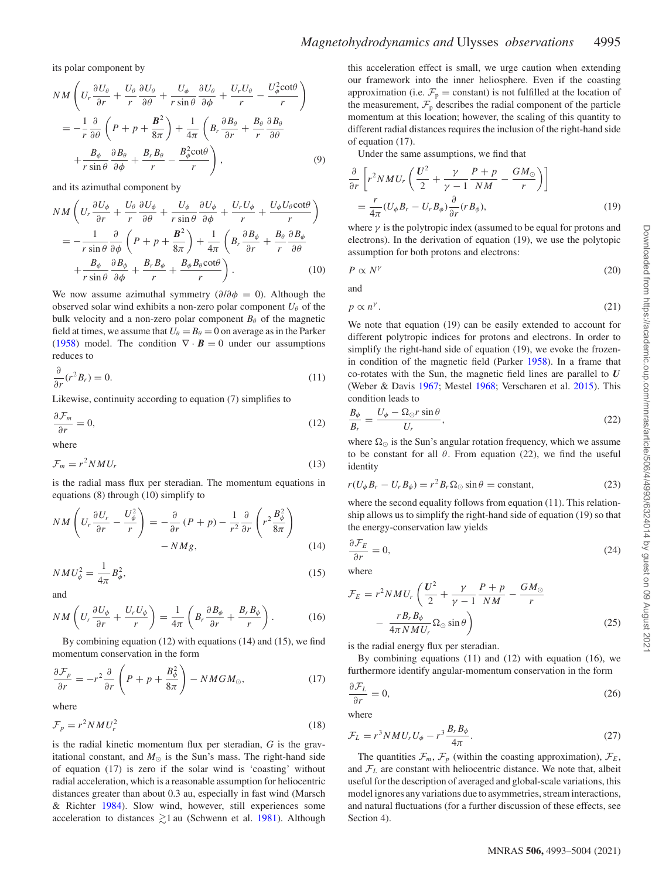#### its polar component by

$$
NM\left(U_r\frac{\partial U_\theta}{\partial r} + \frac{U_\theta}{r}\frac{\partial U_\theta}{\partial \theta} + \frac{U_\phi}{r\sin\theta}\frac{\partial U_\theta}{\partial \phi} + \frac{U_rU_\theta}{r} - \frac{U_\phi^2\cot\theta}{r}\right)
$$
  
= 
$$
-\frac{1}{r}\frac{\partial}{\partial \theta}\left(P + p + \frac{B^2}{8\pi}\right) + \frac{1}{4\pi}\left(B_r\frac{\partial B_\theta}{\partial r} + \frac{B_\theta}{r}\frac{\partial B_\theta}{\partial \theta} + \frac{B_\phi}{r\sin\theta}\frac{\partial B_\theta}{\partial \phi} + \frac{B_rB_\theta}{r} - \frac{B_\phi^2\cot\theta}{r}\right),
$$
(9)

and its azimuthal component by

$$
NM\left(U_r\frac{\partial U_{\phi}}{\partial r} + \frac{U_{\theta}}{r}\frac{\partial U_{\phi}}{\partial \theta} + \frac{U_{\phi}}{r\sin\theta}\frac{\partial U_{\phi}}{\partial \phi} + \frac{U_rU_{\phi}}{r} + \frac{U_{\phi}U_{\theta}\cot\theta}{r}\right)
$$
  
= 
$$
-\frac{1}{r\sin\theta}\frac{\partial}{\partial \phi}\left(P + p + \frac{B^2}{8\pi}\right) + \frac{1}{4\pi}\left(B_r\frac{\partial B_{\phi}}{\partial r} + \frac{B_{\theta}}{r}\frac{\partial B_{\phi}}{\partial \theta} + \frac{B_{\phi}}{r\sin\theta}\frac{\partial B_{\phi}}{\partial \phi} + \frac{B_rB_{\phi}}{r} + \frac{B_{\phi}B_{\theta}\cot\theta}{r}\right).
$$
(10)

We now assume azimuthal symmetry  $(\partial/\partial \phi = 0)$ . Although the observed solar wind exhibits a non-zero polar component  $U_\theta$  of the bulk velocity and a non-zero polar component  $B_\theta$  of the magnetic field at times, we assume that  $U_{\theta} = B_{\theta} = 0$  on average as in the Parker [\(1958\)](#page-11-4) model. The condition  $\nabla \cdot \mathbf{B} = 0$  under our assumptions reduces to

$$
\frac{\partial}{\partial r}(r^2 B_r) = 0. \tag{11}
$$

Likewise, continuity according to equation (7) simplifies to

$$
\frac{\partial \mathcal{F}_m}{\partial r} = 0,\tag{12}
$$

where

$$
\mathcal{F}_m = r^2 N M U_r \tag{13}
$$

is the radial mass flux per steradian. The momentum equations in equations (8) through (10) simplify to

$$
NM\left(U_r\frac{\partial U_r}{\partial r} - \frac{U_\phi^2}{r}\right) = -\frac{\partial}{\partial r}(P + p) - \frac{1}{r^2}\frac{\partial}{\partial r}\left(r^2\frac{B_\phi^2}{8\pi}\right)
$$

$$
-NMg,
$$
 (14)

$$
NMU_{\phi}^2 = \frac{1}{4\pi} B_{\phi}^2,\tag{15}
$$

and

$$
NM\left(U_r\frac{\partial U_\phi}{\partial r} + \frac{U_r U_\phi}{r}\right) = \frac{1}{4\pi} \left(B_r\frac{\partial B_\phi}{\partial r} + \frac{B_r B_\phi}{r}\right). \tag{16}
$$

By combining equation (12) with equations (14) and (15), we find momentum conservation in the form

$$
\frac{\partial \mathcal{F}_p}{\partial r} = -r^2 \frac{\partial}{\partial r} \left( P + p + \frac{B_\phi^2}{8\pi} \right) - NMGM_\odot, \tag{17}
$$

where

$$
\mathcal{F}_p = r^2 N M U_r^2 \tag{18}
$$

is the radial kinetic momentum flux per steradian, *G* is the gravitational constant, and  $M_{\odot}$  is the Sun's mass. The right-hand side of equation (17) is zero if the solar wind is 'coasting' without radial acceleration, which is a reasonable assumption for heliocentric distances greater than about 0.3 au, especially in fast wind (Marsch & Richter [1984\)](#page-10-12). Slow wind, however, still experiences some acceleration to distances  $\gtrsim$ 1 au (Schwenn et al. [1981\)](#page-11-8). Although this acceleration effect is small, we urge caution when extending our framework into the inner heliosphere. Even if the coasting approximation (i.e.  $\mathcal{F}_p$  = constant) is not fulfilled at the location of the measurement,  $\mathcal{F}_p$  describes the radial component of the particle momentum at this location; however, the scaling of this quantity to different radial distances requires the inclusion of the right-hand side of equation (17).

Under the same assumptions, we find that

$$
\frac{\partial}{\partial r} \left[ r^2 N M U_r \left( \frac{U^2}{2} + \frac{\gamma}{\gamma - 1} \frac{P + p}{NM} - \frac{GM_\odot}{r} \right) \right]
$$
\n
$$
= \frac{r}{4\pi} (U_\phi B_r - U_r B_\phi) \frac{\partial}{\partial r} (r B_\phi), \tag{19}
$$

where  $\gamma$  is the polytropic index (assumed to be equal for protons and electrons). In the derivation of equation (19), we use the polytopic assumption for both protons and electrons:

$$
P \propto N^{\gamma} \tag{20}
$$

and

$$
p \propto n^{\gamma}.
$$
 (21)

We note that equation (19) can be easily extended to account for different polytropic indices for protons and electrons. In order to simplify the right-hand side of equation (19), we evoke the frozenin condition of the magnetic field (Parker [1958\)](#page-11-4). In a frame that co-rotates with the Sun, the magnetic field lines are parallel to *U* (Weber & Davis [1967;](#page-11-6) Mestel [1968;](#page-10-13) Verscharen et al. [2015\)](#page-11-9). This condition leads to

$$
\frac{B_{\phi}}{B_r} = \frac{U_{\phi} - \Omega_{\odot}r\sin\theta}{U_r},\tag{22}
$$

where  $\Omega_{\odot}$  is the Sun's angular rotation frequency, which we assume to be constant for all  $\theta$ . From equation (22), we find the useful identity

$$
r(U_{\phi}B_r - U_rB_{\phi}) = r^2B_r\Omega_{\odot}\sin\theta = \text{constant},\tag{23}
$$

where the second equality follows from equation (11). This relationship allows us to simplify the right-hand side of equation (19) so that the energy-conservation law yields

$$
\frac{\partial \mathcal{F}_E}{\partial r} = 0,\tag{24}
$$

where

$$
\mathcal{F}_E = r^2 N M U_r \left( \frac{U^2}{2} + \frac{\gamma}{\gamma - 1} \frac{P + p}{NM} - \frac{GM_\odot}{r} - \frac{r B_r B_\phi}{4\pi N M U_r} \Omega_\odot \sin \theta \right)
$$
\n(25)

is the radial energy flux per steradian.

By combining equations (11) and (12) with equation (16), we furthermore identify angular-momentum conservation in the form

$$
\frac{\partial \mathcal{F}_L}{\partial r} = 0,\tag{26}
$$

where

$$
\mathcal{F}_L = r^3 N M U_r U_\phi - r^3 \frac{B_r B_\phi}{4\pi}.
$$
\n(27)

The quantities  $\mathcal{F}_m$ ,  $\mathcal{F}_p$  (within the coasting approximation),  $\mathcal{F}_E$ , and  $\mathcal{F}_L$  are constant with heliocentric distance. We note that, albeit useful for the description of averaged and global-scale variations, this model ignores any variations due to asymmetries, stream interactions, and natural fluctuations (for a further discussion of these effects, see Section 4).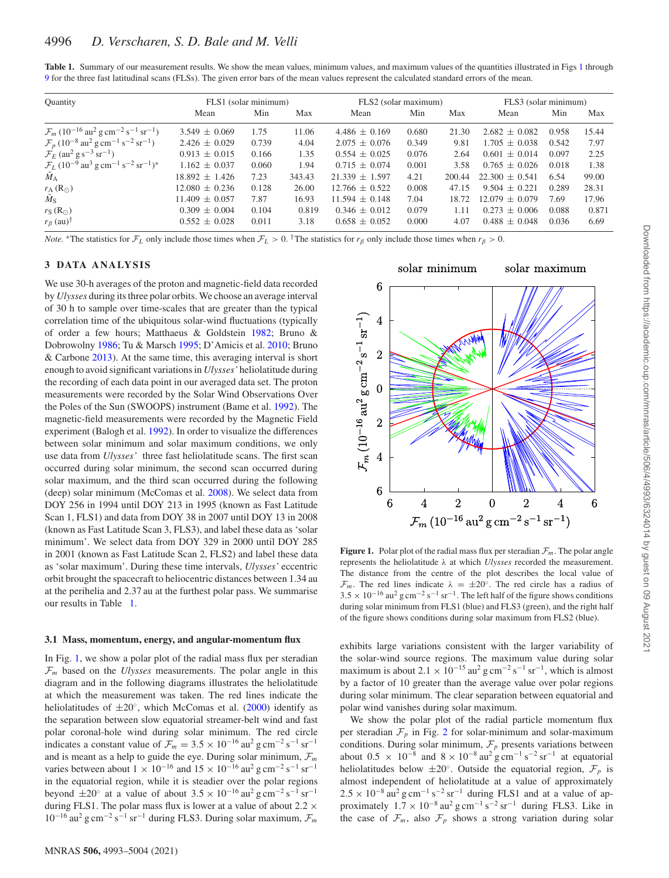<span id="page-3-1"></span>

| Table 1. Summary of our measurement results. We show the mean values, minimum values, and maximum values of the quantities illustrated in Figs 1 through |  |  |
|----------------------------------------------------------------------------------------------------------------------------------------------------------|--|--|
| 9 for the three fast latitudinal scans (FLSs). The given error bars of the mean values represent the calculated standard errors of the mean.             |  |  |

| Quantity                                                                                                             | FLS1 (solar minimum) |       |        | FLS2 (solar maximum) |       |        | FLS3 (solar minimum) |       |       |
|----------------------------------------------------------------------------------------------------------------------|----------------------|-------|--------|----------------------|-------|--------|----------------------|-------|-------|
|                                                                                                                      | Mean                 | Min   | Max    | Mean                 | Min   | Max    | Mean                 | Min   | Max   |
| $\mathcal{F}_m$ (10 <sup>-16</sup> au <sup>2</sup> g cm <sup>-2</sup> s <sup>-1</sup> sr <sup>-1</sup> )             | $3.549 + 0.069$      | 1.75  | 11.06  | $4.486 + 0.169$      | 0.680 | 21.30  | $2.682 \pm 0.082$    | 0.958 | 15.44 |
| $\mathcal{F}_p(10^{-8} \text{ au}^2 \text{ g cm}^{-1} \text{ s}^{-2} \text{ sr}^{-1})$                               | $2.426 \pm 0.029$    | 0.739 | 4.04   | $2.075 \pm 0.076$    | 0.349 | 9.81   | $1.705 \pm 0.038$    | 0.542 | 7.97  |
| $\mathcal{F}_E$ (au <sup>2</sup> g s <sup>-3</sup> sr <sup>-1</sup> )                                                | $0.913 + 0.015$      | 0.166 | 1.35   | $0.554 \pm 0.025$    | 0.076 | 2.64   | $0.601 \pm 0.014$    | 0.097 | 2.25  |
| $\mathcal{F}_L$ (10 <sup>-9</sup> au <sup>3</sup> g cm <sup>-1</sup> s <sup>-2</sup> sr <sup>-1</sup> ) <sup>*</sup> | $1.162 \pm 0.037$    | 0.060 | 1.94   | $0.715 + 0.074$      | 0.001 | 3.58   | $0.765 \pm 0.026$    | 0.018 | 1.38  |
| $M_A$                                                                                                                | $18.892 \pm 1.426$   | 7.23  | 343.43 | $21.339 \pm 1.597$   | 4.21  | 200.44 | $22.300 + 0.541$     | 6.54  | 99.00 |
| $r_{\rm A}$ (R <sub><math>\odot</math></sub> )                                                                       | $12.080 \pm 0.236$   | 0.128 | 26.00  | $12.766 + 0.522$     | 0.008 | 47.15  | $9.504 \pm 0.221$    | 0.289 | 28.31 |
| $\tilde{M}_{\rm S}$                                                                                                  | $11.409 \pm 0.057$   | 7.87  | 16.93  | $11.594 + 0.148$     | 7.04  | 18.72  | $12.079 + 0.079$     | 7.69  | 17.96 |
| $r_S(R_{\odot})$                                                                                                     | $0.309 \pm 0.004$    | 0.104 | 0.819  | $0.346 \pm 0.012$    | 0.079 | 1.11   | $0.273 + 0.006$      | 0.088 | 0.871 |
| $r_\beta$ (au) <sup>†</sup>                                                                                          | $0.552 \pm 0.028$    | 0.011 | 3.18   | $0.658 \pm 0.052$    | 0.000 | 4.07   | $0.488 \pm 0.048$    | 0.036 | 6.69  |

*Note.* \*The statistics for  $\mathcal{F}_L$  only include those times when  $\mathcal{F}_L > 0$ . <sup>†</sup>The statistics for  $r_\beta$  only include those times when  $r_\beta > 0$ .

#### **3 DATA ANALYSIS**

We use 30-h averages of the proton and magnetic-field data recorded by *Ulysses* during its three polar orbits. We choose an average interval of 30 h to sample over time-scales that are greater than the typical correlation time of the ubiquitous solar-wind fluctuations (typically of order a few hours; Matthaeus & Goldstein [1982;](#page-10-14) Bruno & Dobrowolny [1986;](#page-10-15) Tu & Marsch [1995;](#page-11-10) D'Amicis et al. [2010;](#page-10-16) Bruno & Carbone [2013\)](#page-10-17). At the same time, this averaging interval is short enough to avoid significant variations in *Ulysses'* heliolatitude during the recording of each data point in our averaged data set. The proton measurements were recorded by the Solar Wind Observations Over the Poles of the Sun (SWOOPS) instrument (Bame et al. [1992\)](#page-10-18). The magnetic-field measurements were recorded by the Magnetic Field experiment (Balogh et al. [1992\)](#page-10-19). In order to visualize the differences between solar minimum and solar maximum conditions, we only use data from *Ulysses'* three fast heliolatitude scans. The first scan occurred during solar minimum, the second scan occurred during solar maximum, and the third scan occurred during the following (deep) solar minimum (McComas et al. [2008\)](#page-10-20). We select data from DOY 256 in 1994 until DOY 213 in 1995 (known as Fast Latitude Scan 1, FLS1) and data from DOY 38 in 2007 until DOY 13 in 2008 (known as Fast Latitude Scan 3, FLS3), and label these data as 'solar minimum'. We select data from DOY 329 in 2000 until DOY 285 in 2001 (known as Fast Latitude Scan 2, FLS2) and label these data as 'solar maximum'. During these time intervals, *Ulysses'* eccentric orbit brought the spacecraft to heliocentric distances between 1.34 au at the perihelia and 2.37 au at the furthest polar pass. We summarise our results in Table [1.](#page-3-1)

#### **3.1 Mass, momentum, energy, and angular-momentum flux**

In Fig. [1,](#page-3-0) we show a polar plot of the radial mass flux per steradian  $\mathcal{F}_m$  based on the *Ulysses* measurements. The polar angle in this diagram and in the following diagrams illustrates the heliolatitude at which the measurement was taken. The red lines indicate the heliolatitudes of  $\pm 20^\circ$ , which McComas et al. [\(2000\)](#page-10-6) identify as the separation between slow equatorial streamer-belt wind and fast polar coronal-hole wind during solar minimum. The red circle indicates a constant value of  $\mathcal{F}_m = 3.5 \times 10^{-16}$  au<sup>2</sup> g cm<sup>-2</sup> s<sup>-1</sup> sr<sup>-1</sup> and is meant as a help to guide the eye. During solar minimum,  $\mathcal{F}_m$ varies between about  $1 \times 10^{-16}$  and  $15 \times 10^{-16}$  au<sup>2</sup> g cm<sup>-2</sup> s<sup>-1</sup> sr<sup>-1</sup> in the equatorial region, while it is steadier over the polar regions beyond  $\pm 20^\circ$  at a value of about  $3.5 \times 10^{-16}$  au<sup>2</sup> g cm<sup>-2</sup> s<sup>-1</sup> sr<sup>-1</sup> during FLS1. The polar mass flux is lower at a value of about 2*.*2 × <sup>10</sup>−<sup>16</sup> au<sup>2</sup> g cm−<sup>2</sup> <sup>s</sup>−<sup>1</sup> sr−<sup>1</sup> during FLS3. During solar maximum, <sup>F</sup>*<sup>m</sup>*

<span id="page-3-0"></span>

**Figure 1.** Polar plot of the radial mass flux per steradian  $\mathcal{F}_m$ . The polar angle represents the heliolatitude *λ* at which *Ulysses* recorded the measurement. The distance from the centre of the plot describes the local value of  $\mathcal{F}_m$ . The red lines indicate  $\lambda = \pm 20^\circ$ . The red circle has a radius of  $3.5 \times 10^{-16}$  au<sup>2</sup> g cm<sup>-2</sup> s<sup>-1</sup> sr<sup>-1</sup>. The left half of the figure shows conditions during solar minimum from FLS1 (blue) and FLS3 (green), and the right half of the figure shows conditions during solar maximum from FLS2 (blue).

exhibits large variations consistent with the larger variability of the solar-wind source regions. The maximum value during solar maximum is about  $2.1 \times 10^{-15}$  au<sup>2</sup> g cm<sup>-2</sup> s<sup>-1</sup> sr<sup>-1</sup>, which is almost by a factor of 10 greater than the average value over polar regions during solar minimum. The clear separation between equatorial and polar wind vanishes during solar maximum.

We show the polar plot of the radial particle momentum flux per steradian  $\mathcal{F}_p$  in Fig. [2](#page-4-0) for solar-minimum and solar-maximum conditions. During solar minimum,  $\mathcal{F}_p$  presents variations between about  $0.5 \times 10^{-8}$  and  $8 \times 10^{-8}$  au<sup>2</sup> g cm<sup>-1</sup> s<sup>-2</sup> sr<sup>-1</sup> at equatorial heliolatitudes below  $\pm 20^\circ$ . Outside the equatorial region,  $\mathcal{F}_p$  is almost independent of heliolatitude at a value of approximately  $2.5 \times 10^{-8}$  au<sup>2</sup> g cm<sup>-1</sup> s<sup>-2</sup> sr<sup>-1</sup> during FLS1 and at a value of approximately  $1.7 \times 10^{-8}$  au<sup>2</sup> g cm<sup>-1</sup> s<sup>-2</sup> sr<sup>-1</sup> during FLS3. Like in the case of  $\mathcal{F}_m$ , also  $\mathcal{F}_p$  shows a strong variation during solar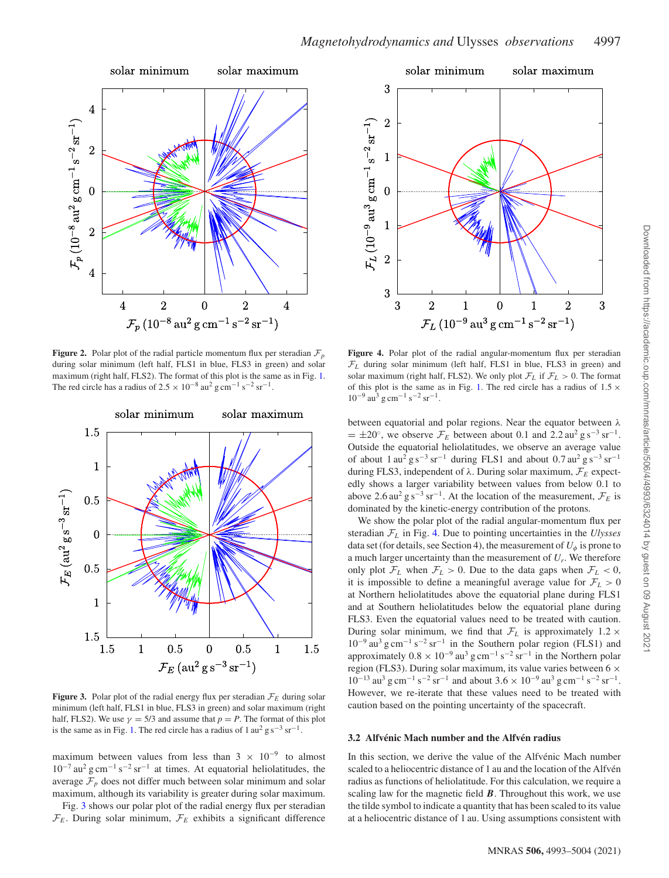<span id="page-4-0"></span>

**Figure 2.** Polar plot of the radial particle momentum flux per steradian  $\mathcal{F}_p$ during solar minimum (left half, FLS1 in blue, FLS3 in green) and solar maximum (right half, FLS2). The format of this plot is the same as in Fig. [1.](#page-3-0) The red circle has a radius of  $2.5 \times 10^{-8}$  au<sup>2</sup> g cm<sup>-1</sup> s<sup>-2</sup> sr<sup>-1</sup>.

<span id="page-4-1"></span>

**Figure 3.** Polar plot of the radial energy flux per steradian  $\mathcal{F}_E$  during solar minimum (left half, FLS1 in blue, FLS3 in green) and solar maximum (right half, FLS2). We use  $\gamma = 5/3$  and assume that  $p = P$ . The format of this plot is the same as in Fig. [1.](#page-3-0) The red circle has a radius of  $1 \text{ au}^2 \text{ g s}^{-3} \text{ sr}^{-1}$ .

maximum between values from less than  $3 \times 10^{-9}$  to almost  $10^{-7}$  au<sup>2</sup> g cm<sup>-1</sup> s<sup>-2</sup> sr<sup>-1</sup> at times. At equatorial heliolatitudes, the average  $\mathcal{F}_p$  does not differ much between solar minimum and solar maximum, although its variability is greater during solar maximum.

Fig. [3](#page-4-1) shows our polar plot of the radial energy flux per steradian  $\mathcal{F}_E$ . During solar minimum,  $\mathcal{F}_E$  exhibits a significant difference

<span id="page-4-2"></span>

Figure 4. Polar plot of the radial angular-momentum flux per steradian  $\mathcal{F}_L$  during solar minimum (left half, FLS1 in blue, FLS3 in green) and solar maximum (right half, FLS2). We only plot  $\mathcal{F}_L$  if  $\mathcal{F}_L > 0$ . The format of this plot is the same as in Fig. [1.](#page-3-0) The red circle has a radius of  $1.5 \times$  $10^{-9}$  au<sup>3</sup> g cm<sup>-1</sup> s<sup>-2</sup> sr<sup>-1</sup>.

between equatorial and polar regions. Near the equator between *λ*  $= \pm 20^\circ$ , we observe  $\mathcal{F}_E$  between about 0.1 and 2.2 au<sup>2</sup> g s<sup>-3</sup> sr<sup>-1</sup>. Outside the equatorial heliolatitudes, we observe an average value of about  $1 \text{ au}^2$  g s<sup>-3</sup> sr<sup>-1</sup> during FLS1 and about 0.7 au<sup>2</sup> g s<sup>-3</sup> sr<sup>-1</sup> during FLS3, independent of *λ*. During solar maximum, F*<sup>E</sup>* expectedly shows a larger variability between values from below 0.1 to above 2.6 au<sup>2</sup> g s<sup>-3</sup> sr<sup>-1</sup>. At the location of the measurement,  $\mathcal{F}_E$  is dominated by the kinetic-energy contribution of the protons.

We show the polar plot of the radial angular-momentum flux per steradian F*<sup>L</sup>* in Fig. [4.](#page-4-2) Due to pointing uncertainties in the *Ulysses* data set (for details, see Section 4), the measurement of  $U_{\phi}$  is prone to a much larger uncertainty than the measurement of  $U_r$ . We therefore only plot  $\mathcal{F}_L$  when  $\mathcal{F}_L > 0$ . Due to the data gaps when  $\mathcal{F}_L < 0$ , it is impossible to define a meaningful average value for  $\mathcal{F}_L > 0$ at Northern heliolatitudes above the equatorial plane during FLS1 and at Southern heliolatitudes below the equatorial plane during FLS3. Even the equatorial values need to be treated with caution. During solar minimum, we find that  $\mathcal{F}_L$  is approximately 1.2  $\times$  $10^{-9}$  au<sup>3</sup> g cm<sup>-1</sup> s<sup>-2</sup> sr<sup>-1</sup> in the Southern polar region (FLS1) and approximately  $0.8 \times 10^{-9}$  au<sup>3</sup> g cm<sup>-1</sup> s<sup>-2</sup> sr<sup>-1</sup> in the Northern polar region (FLS3). During solar maximum, its value varies between 6 × 10<sup>−13</sup> au<sup>3</sup> g cm<sup>−1</sup> s<sup>−2</sup> sr<sup>−1</sup> and about 3.6 × 10<sup>−9</sup> au<sup>3</sup> g cm<sup>−1</sup> s<sup>−2</sup> sr<sup>−1</sup>. However, we re-iterate that these values need to be treated with caution based on the pointing uncertainty of the spacecraft.

#### 3.2 Alfvénic Mach number and the Alfvén radius

In this section, we derive the value of the Alfvénic Mach number scaled to a heliocentric distance of 1 au and the location of the Alfvén radius as functions of heliolatitude. For this calculation, we require a scaling law for the magnetic field *B*. Throughout this work, we use the tilde symbol to indicate a quantity that has been scaled to its value at a heliocentric distance of 1 au. Using assumptions consistent with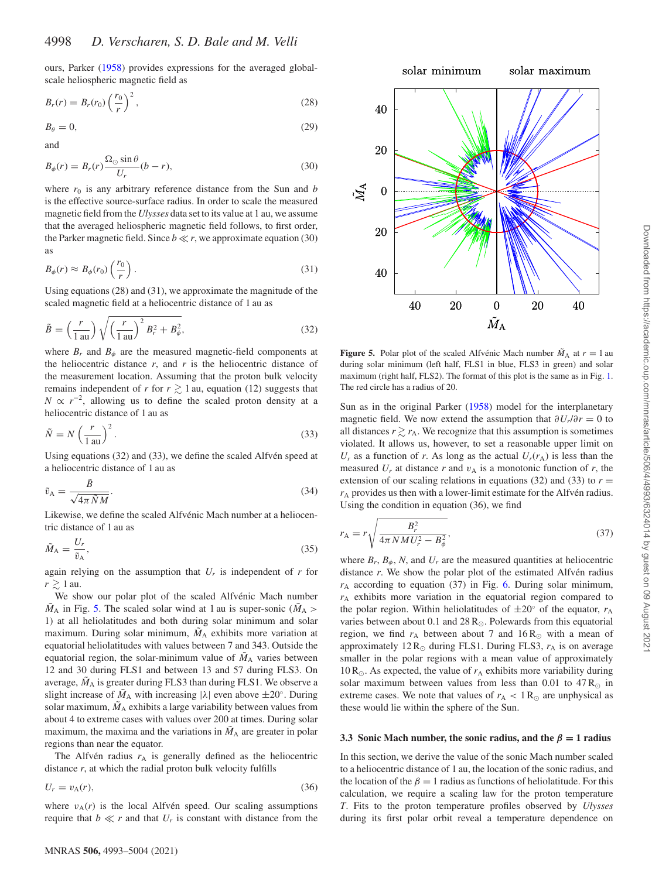ours, Parker [\(1958\)](#page-11-4) provides expressions for the averaged globalscale heliospheric magnetic field as

$$
B_r(r) = B_r(r_0) \left(\frac{r_0}{r}\right)^2,\tag{28}
$$

$$
B_{\theta} = 0,\t\t(29)
$$

and

$$
B_{\phi}(r) = B_r(r) \frac{\Omega_{\odot} \sin \theta}{U_r} (b - r), \tag{30}
$$

where  $r_0$  is any arbitrary reference distance from the Sun and  $b$ is the effective source-surface radius. In order to scale the measured magnetic field from the *Ulysses* data set to its value at 1 au, we assume that the averaged heliospheric magnetic field follows, to first order, the Parker magnetic field. Since  $b \ll r$ , we approximate equation (30) as

$$
B_{\phi}(r) \approx B_{\phi}(r_0) \left(\frac{r_0}{r}\right). \tag{31}
$$

Using equations (28) and (31), we approximate the magnitude of the scaled magnetic field at a heliocentric distance of 1 au as

$$
\tilde{B} = \left(\frac{r}{1 \text{ au}}\right) \sqrt{\left(\frac{r}{1 \text{ au}}\right)^2 B_r^2 + B_\phi^2},\tag{32}
$$

where  $B_r$  and  $B_\phi$  are the measured magnetic-field components at the heliocentric distance  $r$ , and  $r$  is the heliocentric distance of the measurement location. Assuming that the proton bulk velocity remains independent of *r* for  $r \ge 1$  au, equation (12) suggests that  $N \propto r^{-2}$ , allowing us to define the scaled proton density at a heliocentric distance of 1 au as

$$
\tilde{N} = N \left(\frac{r}{1 \text{ au}}\right)^2.
$$
\n(33)

Using equations  $(32)$  and  $(33)$ , we define the scaled Alfvén speed at a heliocentric distance of 1 au as

$$
\tilde{v}_{A} = \frac{\tilde{B}}{\sqrt{4\pi \tilde{N}M}}.
$$
\n(34)

Likewise, we define the scaled Alfvénic Mach number at a heliocentric distance of 1 au as

$$
\tilde{M}_{A} = \frac{U_r}{\tilde{v}_A},\tag{35}
$$

again relying on the assumption that  $U_r$  is independent of  $r$  for  $r \gtrsim 1$  au.

We show our polar plot of the scaled Alfvénic Mach number  $\tilde{M}_A$  in Fig. [5.](#page-5-0) The scaled solar wind at 1 au is super-sonic ( $\tilde{M}_A$ ) 1) at all heliolatitudes and both during solar minimum and solar maximum. During solar minimum,  $\tilde{M}_A$  exhibits more variation at equatorial heliolatitudes with values between 7 and 343. Outside the equatorial region, the solar-minimum value of  $\tilde{M}_A$  varies between 12 and 30 during FLS1 and between 13 and 57 during FLS3. On average,  $\tilde{M}_A$  is greater during FLS3 than during FLS1. We observe a slight increase of  $\tilde{M}_A$  with increasing  $|\lambda|$  even above  $\pm 20^\circ$ . During solar maximum,  $\tilde{M}_A$  exhibits a large variability between values from about 4 to extreme cases with values over 200 at times. During solar maximum, the maxima and the variations in  $\tilde{M}_A$  are greater in polar regions than near the equator.

The Alfvén radius  $r_A$  is generally defined as the heliocentric distance *r*, at which the radial proton bulk velocity fulfills

$$
U_r = v_A(r),\tag{36}
$$

where  $v_A(r)$  is the local Alfvén speed. Our scaling assumptions require that  $b \ll r$  and that  $U_r$  is constant with distance from the

<span id="page-5-0"></span>

**Figure 5.** Polar plot of the scaled Alfvénic Mach number  $\tilde{M}_A$  at  $r = 1$  au during solar minimum (left half, FLS1 in blue, FLS3 in green) and solar maximum (right half, FLS2). The format of this plot is the same as in Fig. [1.](#page-3-0) The red circle has a radius of 20.

Sun as in the original Parker [\(1958\)](#page-11-4) model for the interplanetary magnetic field. We now extend the assumption that  $\partial U_r/\partial r = 0$  to all distances  $r \gtrsim r_A$ . We recognize that this assumption is sometimes violated. It allows us, however, to set a reasonable upper limit on  $U_r$  as a function of *r*. As long as the actual  $U_r(r_A)$  is less than the measured  $U_r$  at distance  $r$  and  $v_A$  is a monotonic function of  $r$ , the extension of our scaling relations in equations (32) and (33) to  $r =$  $r_A$  provides us then with a lower-limit estimate for the Alfvén radius. Using the condition in equation (36), we find

$$
r_{A} = r \sqrt{\frac{B_r^2}{4\pi N M U_r^2 - B_\phi^2}},
$$
\n(37)

where  $B_r$ ,  $B_\phi$ , N, and  $U_r$  are the measured quantities at heliocentric distance *r*. We show the polar plot of the estimated Alfvén radius  $r_A$  according to equation (37) in Fig. [6.](#page-6-0) During solar minimum, *r*<sup>A</sup> exhibits more variation in the equatorial region compared to the polar region. Within heliolatitudes of  $\pm 20^\circ$  of the equator,  $r_A$ varies between about 0.1 and 28  $R_{\odot}$ . Polewards from this equatorial region, we find  $r_A$  between about 7 and 16 R<sub>o</sub> with a mean of approximately  $12 R_{\odot}$  during FLS1. During FLS3,  $r_A$  is on average smaller in the polar regions with a mean value of approximately 10 R<sub> $\odot$ </sub>. As expected, the value of  $r_A$  exhibits more variability during solar maximum between values from less than 0.01 to  $47 R_{\odot}$  in extreme cases. We note that values of  $r_A < 1 R_{\odot}$  are unphysical as these would lie within the sphere of the Sun.

#### **3.3 Sonic Mach number, the sonic radius, and the** *β* **= 1 radius**

In this section, we derive the value of the sonic Mach number scaled to a heliocentric distance of 1 au, the location of the sonic radius, and the location of the  $\beta = 1$  radius as functions of heliolatitude. For this calculation, we require a scaling law for the proton temperature *T*. Fits to the proton temperature profiles observed by *Ulysses* during its first polar orbit reveal a temperature dependence on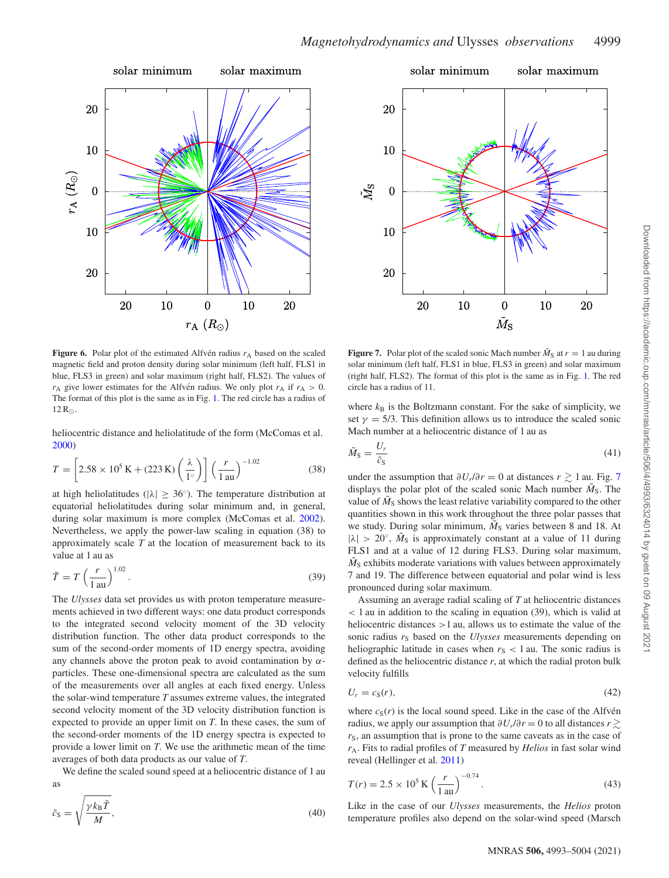<span id="page-6-0"></span>

<span id="page-6-1"></span>

**Figure 6.** Polar plot of the estimated Alfvén radius  $r_A$  based on the scaled magnetic field and proton density during solar minimum (left half, FLS1 in blue, FLS3 in green) and solar maximum (right half, FLS2). The values of  $r_A$  give lower estimates for the Alfvén radius. We only plot  $r_A$  if  $r_A > 0$ . The format of this plot is the same as in Fig. [1.](#page-3-0) The red circle has a radius of  $12 R_{\odot}$ .

[heliocentric distance and heliolatitude of the form \(McComas et al.](#page-10-6) 2000)

$$
T = \left[2.58 \times 10^5 \text{ K} + (223 \text{ K}) \left(\frac{\lambda}{1^{\circ}}\right)\right] \left(\frac{r}{1 \text{ au}}\right)^{-1.02} \tag{38}
$$

at high heliolatitudes ( $|\lambda| \geq 36^\circ$ ). The temperature distribution at equatorial heliolatitudes during solar minimum and, in general, during solar maximum is more complex (McComas et al. [2002\)](#page-10-21). Nevertheless, we apply the power-law scaling in equation (38) to approximately scale *T* at the location of measurement back to its value at 1 au as

$$
\tilde{T} = T \left(\frac{r}{1 \text{ au}}\right)^{1.02}.\tag{39}
$$

The *Ulysses* data set provides us with proton temperature measurements achieved in two different ways: one data product corresponds to the integrated second velocity moment of the 3D velocity distribution function. The other data product corresponds to the sum of the second-order moments of 1D energy spectra, avoiding any channels above the proton peak to avoid contamination by *α*particles. These one-dimensional spectra are calculated as the sum of the measurements over all angles at each fixed energy. Unless the solar-wind temperature *T* assumes extreme values, the integrated second velocity moment of the 3D velocity distribution function is expected to provide an upper limit on *T*. In these cases, the sum of the second-order moments of the 1D energy spectra is expected to provide a lower limit on *T*. We use the arithmetic mean of the time averages of both data products as our value of *T*.

We define the scaled sound speed at a heliocentric distance of 1 au

as  

$$
\tilde{c}_{\rm S} = \sqrt{\frac{\gamma k_{\rm B} \tilde{T}}{M}},\tag{40}
$$

**Figure 7.** Polar plot of the scaled sonic Mach number  $\tilde{M}_S$  at  $r = 1$  au during solar minimum (left half, FLS1 in blue, FLS3 in green) and solar maximum (right half, FLS2). The format of this plot is the same as in Fig. [1.](#page-3-0) The red circle has a radius of 11.

where  $k_B$  is the Boltzmann constant. For the sake of simplicity, we set  $\gamma = 5/3$ . This definition allows us to introduce the scaled sonic Mach number at a heliocentric distance of 1 au as

$$
\tilde{M}_{\rm S} = \frac{U_r}{\tilde{c}_{\rm S}}\tag{41}
$$

under the assumption that  $\partial U_r/\partial r = 0$  at distances  $r \gtrsim 1$  au. Fig. [7](#page-6-1) displays the polar plot of the scaled sonic Mach number  $\tilde{M}_S$ . The value of  $\tilde{M}_S$  shows the least relative variability compared to the other quantities shown in this work throughout the three polar passes that we study. During solar minimum,  $\tilde{M}_{S}$  varies between 8 and 18. At  $|\lambda| > 20^\circ$ ,  $\tilde{M}_S$  is approximately constant at a value of 11 during FLS1 and at a value of 12 during FLS3. During solar maximum,  $\tilde{M}_S$  exhibits moderate variations with values between approximately 7 and 19. The difference between equatorial and polar wind is less pronounced during solar maximum.

Assuming an average radial scaling of *T* at heliocentric distances *<* 1 au in addition to the scaling in equation (39), which is valid at heliocentric distances *>*1 au, allows us to estimate the value of the sonic radius  $r<sub>S</sub>$  based on the *Ulysses* measurements depending on heliographic latitude in cases when  $r<sub>S</sub> < 1$  au. The sonic radius is defined as the heliocentric distance  $r$ , at which the radial proton bulk velocity fulfills

$$
U_r = c_S(r),\tag{42}
$$

where  $c_S(r)$  is the local sound speed. Like in the case of the Alfven radius, we apply our assumption that  $\partial U_r / \partial r = 0$  to all distances  $r \gtrsim$  $r<sub>S</sub>$ , an assumption that is prone to the same caveats as in the case of *r*A. Fits to radial profiles of *T* measured by *Helios* in fast solar wind reveal (Hellinger et al. [2011\)](#page-10-22)

$$
T(r) = 2.5 \times 10^5 \,\mathrm{K} \left(\frac{r}{1 \,\mathrm{au}}\right)^{-0.74}.\tag{43}
$$

Like in the case of our *Ulysses* measurements, the *Helios* proton temperature profiles also depend on the solar-wind speed (Marsch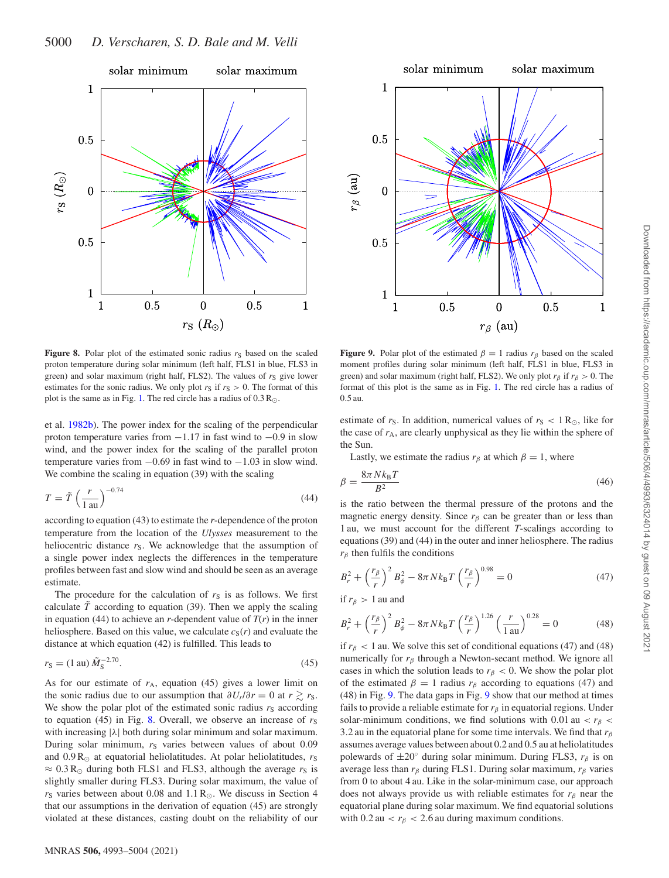<span id="page-7-1"></span>

**Figure 8.** Polar plot of the estimated sonic radius  $r_S$  based on the scaled proton temperature during solar minimum (left half, FLS1 in blue, FLS3 in green) and solar maximum (right half, FLS2). The values of  $r<sub>S</sub>$  give lower estimates for the sonic radius. We only plot  $r_S$  if  $r_S > 0$ . The format of this plot is the same as in Fig. [1.](#page-3-0) The red circle has a radius of  $0.3 \text{ R}_{\odot}$ .

et al. [1982b\)](#page-10-23). The power index for the scaling of the perpendicular proton temperature varies from  $-1.17$  in fast wind to  $-0.9$  in slow wind, and the power index for the scaling of the parallel proton temperature varies from  $-0.69$  in fast wind to  $-1.03$  in slow wind. We combine the scaling in equation (39) with the scaling

$$
T = \tilde{T} \left(\frac{r}{1 \text{ au}}\right)^{-0.74} \tag{44}
$$

according to equation (43) to estimate the *r*-dependence of the proton temperature from the location of the *Ulysses* measurement to the heliocentric distance  $r<sub>S</sub>$ . We acknowledge that the assumption of a single power index neglects the differences in the temperature profiles between fast and slow wind and should be seen as an average estimate.

The procedure for the calculation of  $r<sub>S</sub>$  is as follows. We first calculate  $\tilde{T}$  according to equation (39). Then we apply the scaling in equation (44) to achieve an *r*-dependent value of  $T(r)$  in the inner heliosphere. Based on this value, we calculate  $c_S(r)$  and evaluate the distance at which equation (42) is fulfilled. This leads to

$$
r_{\rm S} = (1 \text{ au}) \tilde{M}_{\rm S}^{-2.70}.
$$
 (45)

As for our estimate of  $r_A$ , equation (45) gives a lower limit on the sonic radius due to our assumption that  $\partial U_r/\partial r = 0$  at  $r \ge r_S$ . We show the polar plot of the estimated sonic radius  $r<sub>S</sub>$  according to equation (45) in Fig. [8.](#page-7-1) Overall, we observe an increase of  $r<sub>S</sub>$ with increasing |*λ*| both during solar minimum and solar maximum. During solar minimum,  $r<sub>S</sub>$  varies between values of about 0.09 and  $0.9 R_{\odot}$  at equatorial heliolatitudes. At polar heliolatitudes,  $r_S$  $\approx 0.3 \text{ R}$  during both FLS1 and FLS3, although the average  $r_s$  is slightly smaller during FLS3. During solar maximum, the value of  $r<sub>S</sub>$  varies between about 0.08 and 1.1 R<sub>o</sub>. We discuss in Section 4 that our assumptions in the derivation of equation (45) are strongly violated at these distances, casting doubt on the reliability of our

<span id="page-7-0"></span>

**Figure 9.** Polar plot of the estimated  $\beta = 1$  radius  $r_\beta$  based on the scaled moment profiles during solar minimum (left half, FLS1 in blue, FLS3 in green) and solar maximum (right half, FLS2). We only plot  $r_\beta$  if  $r_\beta > 0$ . The format of this plot is the same as in Fig. [1.](#page-3-0) The red circle has a radius of 0*.*5 au.

estimate of  $r_S$ . In addition, numerical values of  $r_S < 1 \, \text{R}_{\odot}$ , like for the case of  $r_A$ , are clearly unphysical as they lie within the sphere of the Sun.

Lastly, we estimate the radius  $r_\beta$  at which  $\beta = 1$ , where

$$
\beta = \frac{8\pi N k_{\rm B}T}{B^2} \tag{46}
$$

is the ratio between the thermal pressure of the protons and the magnetic energy density. Since  $r<sub>\beta</sub>$  can be greater than or less than 1 au, we must account for the different *T*-scalings according to equations (39) and (44) in the outer and inner heliosphere. The radius *r<sup>β</sup>* then fulfils the conditions

$$
B_r^2 + \left(\frac{r_\beta}{r}\right)^2 B_\phi^2 - 8\pi N k_\text{B} T \left(\frac{r_\beta}{r}\right)^{0.98} = 0 \tag{47}
$$

if  $r_\beta > 1$  au and

$$
B_r^2 + \left(\frac{r_\beta}{r}\right)^2 B_\phi^2 - 8\pi N k_\text{B} T \left(\frac{r_\beta}{r}\right)^{1.26} \left(\frac{r}{1 \text{ au}}\right)^{0.28} = 0 \tag{48}
$$

if  $r<sub>\beta</sub>$  < 1 au. We solve this set of conditional equations (47) and (48) numerically for  $r<sub>\beta</sub>$  through a Newton-secant method. We ignore all cases in which the solution leads to  $r<sub>\beta</sub> < 0$ . We show the polar plot of the estimated  $\beta = 1$  radius  $r_\beta$  according to equations (47) and (48) in Fig. [9.](#page-7-0) The data gaps in Fig. [9](#page-7-0) show that our method at times fails to provide a reliable estimate for  $r<sub>\beta</sub>$  in equatorial regions. Under solar-minimum conditions, we find solutions with 0.01 au  $\langle r_{\beta} \rangle$ 3*.*2 au in the equatorial plane for some time intervals. We find that *r<sup>β</sup>* assumes average values between about 0.2 and 0.5 au at heliolatitudes polewards of  $\pm 20^\circ$  during solar minimum. During FLS3,  $r_\beta$  is on average less than *r<sup>β</sup>* during FLS1. During solar maximum, *r<sup>β</sup>* varies from 0 to about 4 au. Like in the solar-minimum case, our approach does not always provide us with reliable estimates for  $r<sub>β</sub>$  near the equatorial plane during solar maximum. We find equatorial solutions with  $0.2$  au  $\lt r_\beta \lt 2.6$  au during maximum conditions.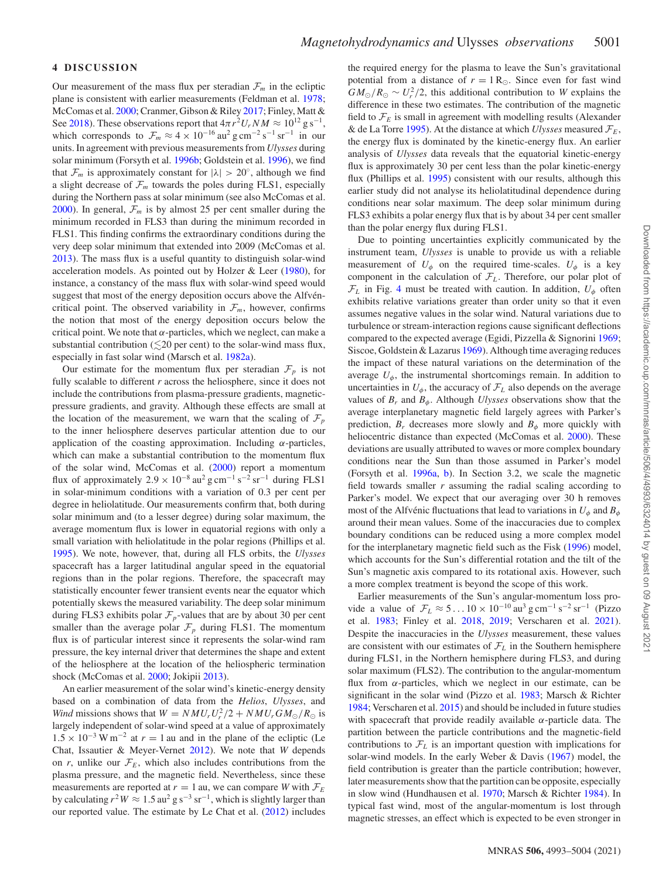## **4 DISCUSSION**

Our measurement of the mass flux per steradian  $\mathcal{F}_m$  in the ecliptic plane is consistent with earlier measurements (Feldman et al. [1978;](#page-10-24) McComas et al. [2000;](#page-10-6) Cranmer, Gibson & Riley [2017;](#page-10-25) Finley, Matt & See [2018\)](#page-10-26). These observations report that  $4\pi r^2 U_r NM \approx 10^{12}$  g s<sup>-1</sup>, which corresponds to  $\mathcal{F}_m \approx 4 \times 10^{-16} \text{ au}^2 \text{ g cm}^{-2} \text{ s}^{-1} \text{ sr}^{-1}$  in our units. In agreement with previous measurements from *Ulysses* during solar minimum (Forsyth et al. [1996b;](#page-10-27) Goldstein et al. [1996\)](#page-10-28), we find that  $\mathcal{F}_m$  is approximately constant for  $|\lambda| > 20^\circ$ , although we find a slight decrease of  $\mathcal{F}_m$  towards the poles during FLS1, especially during the Northern pass at solar minimum (see also McComas et al. [2000\)](#page-10-6). In general,  $\mathcal{F}_m$  is by almost 25 per cent smaller during the minimum recorded in FLS3 than during the minimum recorded in FLS1. This finding confirms the extraordinary conditions during the very deep solar minimum that extended into 2009 (McComas et al. [2013\)](#page-10-29). The mass flux is a useful quantity to distinguish solar-wind acceleration models. As pointed out by Holzer & Leer [\(1980\)](#page-10-30), for instance, a constancy of the mass flux with solar-wind speed would suggest that most of the energy deposition occurs above the Alfvéncritical point. The observed variability in  $\mathcal{F}_m$ , however, confirms the notion that most of the energy deposition occurs below the critical point. We note that *α*-particles, which we neglect, can make a substantial contribution ( $\lesssim$  20 per cent) to the solar-wind mass flux, especially in fast solar wind (Marsch et al. [1982a\)](#page-10-31).

Our estimate for the momentum flux per steradian  $\mathcal{F}_p$  is not fully scalable to different *r* across the heliosphere, since it does not include the contributions from plasma-pressure gradients, magneticpressure gradients, and gravity. Although these effects are small at the location of the measurement, we warn that the scaling of  $\mathcal{F}_p$ to the inner heliosphere deserves particular attention due to our application of the coasting approximation. Including *α*-particles, which can make a substantial contribution to the momentum flux of the solar wind, McComas et al. [\(2000\)](#page-10-6) report a momentum flux of approximately  $2.9 \times 10^{-8}$  au<sup>2</sup> g cm<sup>-1</sup> s<sup>-2</sup> sr<sup>-1</sup> during FLS1 in solar-minimum conditions with a variation of 0.3 per cent per degree in heliolatitude. Our measurements confirm that, both during solar minimum and (to a lesser degree) during solar maximum, the average momentum flux is lower in equatorial regions with only a small variation with heliolatitude in the polar regions (Phillips et al. [1995\)](#page-11-11). We note, however, that, during all FLS orbits, the *Ulysses* spacecraft has a larger latitudinal angular speed in the equatorial regions than in the polar regions. Therefore, the spacecraft may statistically encounter fewer transient events near the equator which potentially skews the measured variability. The deep solar minimum during FLS3 exhibits polar  $\mathcal{F}_p$ -values that are by about 30 per cent smaller than the average polar  $\mathcal{F}_p$  during FLS1. The momentum flux is of particular interest since it represents the solar-wind ram pressure, the key internal driver that determines the shape and extent of the heliosphere at the location of the heliospheric termination shock (McComas et al. [2000;](#page-10-6) Jokipii [2013\)](#page-10-32).

An earlier measurement of the solar wind's kinetic-energy density based on a combination of data from the *Helios*, *Ulysses*, and *Wind* missions shows that  $W = N M U_r U_r^2 / 2 + N M U_r G M_{\odot} / R_{\odot}$  is largely independent of solar-wind speed at a value of approximately  $1.5 \times 10^{-3}$  W m<sup>-2</sup> at  $r = 1$  au and in the plane of the ecliptic (Le Chat, Issautier & Meyer-Vernet [2012\)](#page-10-33). We note that *W* depends on *r*, unlike our  $\mathcal{F}_E$ , which also includes contributions from the plasma pressure, and the magnetic field. Nevertheless, since these measurements are reported at  $r = 1$  au, we can compare *W* with  $\mathcal{F}_E$ by calculating  $r^2W \approx 1.5 \text{ au}^2 \text{ g s}^{-3} \text{ sr}^{-1}$ , which is slightly larger than our reported value. The estimate by Le Chat et al. [\(2012\)](#page-10-33) includes the required energy for the plasma to leave the Sun's gravitational potential from a distance of  $r = 1 R_{\odot}$ . Since even for fast wind  $GM_{\odot}/R_{\odot} \sim U_r^2/2$ , this additional contribution to *W* explains the difference in these two estimates. The contribution of the magnetic field to  $\mathcal{F}_E$  is small in agreement with modelling results (Alexander & de La Torre [1995\)](#page-10-34). At the distance at which *Ulysses* measured  $\mathcal{F}_E$ , the energy flux is dominated by the kinetic-energy flux. An earlier analysis of *Ulysses* data reveals that the equatorial kinetic-energy flux is approximately 30 per cent less than the polar kinetic-energy flux (Phillips et al. [1995\)](#page-11-11) consistent with our results, although this earlier study did not analyse its heliolatitudinal dependence during conditions near solar maximum. The deep solar minimum during FLS3 exhibits a polar energy flux that is by about 34 per cent smaller than the polar energy flux during FLS1.

Due to pointing uncertainties explicitly communicated by the instrument team, *Ulysses* is unable to provide us with a reliable measurement of  $U_\phi$  on the required time-scales.  $U_\phi$  is a key component in the calculation of  $\mathcal{F}_L$ . Therefore, our polar plot of  $\mathcal{F}_L$  in Fig. [4](#page-4-2) must be treated with caution. In addition,  $U_\phi$  often exhibits relative variations greater than order unity so that it even assumes negative values in the solar wind. Natural variations due to turbulence or stream-interaction regions cause significant deflections compared to the expected average (Egidi, Pizzella & Signorini [1969;](#page-10-35) Siscoe, Goldstein & Lazarus [1969\)](#page-11-12). Although time averaging reduces the impact of these natural variations on the determination of the average  $U_{\phi}$ , the instrumental shortcomings remain. In addition to uncertainties in  $U_{\phi}$ , the accuracy of  $\mathcal{F}_L$  also depends on the average values of  $B_r$  and  $B_\phi$ . Although *Ulysses* observations show that the average interplanetary magnetic field largely agrees with Parker's prediction,  $B_r$  decreases more slowly and  $B_\phi$  more quickly with heliocentric distance than expected (McComas et al. [2000\)](#page-10-6). These deviations are usually attributed to waves or more complex boundary conditions near the Sun than those assumed in Parker's model (Forsyth et al. [1996a,](#page-10-36) [b\)](#page-10-27). In Section 3.2, we scale the magnetic field towards smaller  $r$  assuming the radial scaling according to Parker's model. We expect that our averaging over 30 h removes most of the Alfvénic fluctuations that lead to variations in  $U_{\phi}$  and  $B_{\phi}$ around their mean values. Some of the inaccuracies due to complex boundary conditions can be reduced using a more complex model for the interplanetary magnetic field such as the Fisk [\(1996\)](#page-10-37) model, which accounts for the Sun's differential rotation and the tilt of the Sun's magnetic axis compared to its rotational axis. However, such a more complex treatment is beyond the scope of this work.

Earlier measurements of the Sun's angular-momentum loss provide a value of  $\mathcal{F}_L \approx 5...10 \times 10^{-10}$  au<sup>3</sup> g cm<sup>-1</sup> s<sup>-2</sup> sr<sup>-1</sup> (Pizzo et al. [1983;](#page-11-13) Finley et al. [2018,](#page-10-26) [2019;](#page-10-38) Verscharen et al. [2021\)](#page-11-14). Despite the inaccuracies in the *Ulysses* measurement, these values are consistent with our estimates of  $\mathcal{F}_L$  in the Southern hemisphere during FLS1, in the Northern hemisphere during FLS3, and during solar maximum (FLS2). The contribution to the angular-momentum flux from *α*-particles, which we neglect in our estimate, can be significant in the solar wind (Pizzo et al. [1983;](#page-11-13) Marsch & Richter [1984;](#page-10-12) Verscharen et al. [2015\)](#page-11-9) and should be included in future studies with spacecraft that provide readily available *α*-particle data. The partition between the particle contributions and the magnetic-field contributions to  $\mathcal{F}_L$  is an important question with implications for solar-wind models. In the early Weber & Davis [\(1967\)](#page-11-6) model, the field contribution is greater than the particle contribution; however, later measurements show that the partition can be opposite, especially in slow wind (Hundhausen et al. [1970;](#page-10-9) Marsch & Richter [1984\)](#page-10-12). In typical fast wind, most of the angular-momentum is lost through magnetic stresses, an effect which is expected to be even stronger in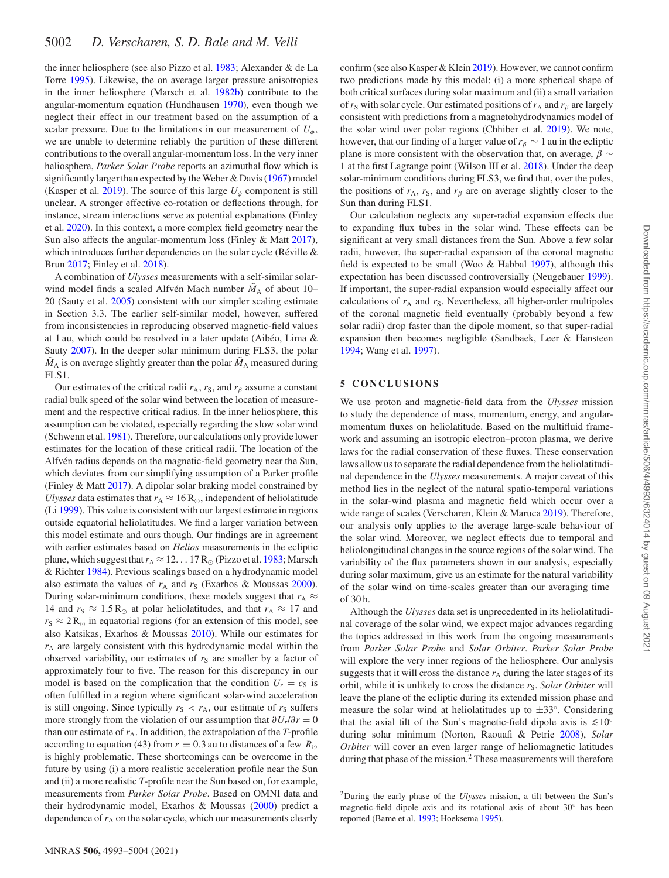the inner heliosphere (see also Pizzo et al. [1983;](#page-11-13) Alexander & de La Torre [1995\)](#page-10-34). Likewise, the on average larger pressure anisotropies in the inner heliosphere (Marsch et al. [1982b\)](#page-10-23) contribute to the angular-momentum equation (Hundhausen [1970\)](#page-10-39), even though we neglect their effect in our treatment based on the assumption of a scalar pressure. Due to the limitations in our measurement of  $U_{\phi}$ , we are unable to determine reliably the partition of these different contributions to the overall angular-momentum loss. In the very inner heliosphere, *Parker Solar Probe* reports an azimuthal flow which is significantly larger than expected by the Weber & Davis [\(1967\)](#page-11-6) model (Kasper et al. [2019\)](#page-10-40). The source of this large  $U_{\phi}$  component is still unclear. A stronger effective co-rotation or deflections through, for instance, stream interactions serve as potential explanations (Finley et al. [2020\)](#page-10-41). In this context, a more complex field geometry near the Sun also affects the angular-momentum loss (Finley & Matt [2017\)](#page-10-42), which introduces further dependencies on the solar cycle (Réville  $\&$ Brun [2017;](#page-11-15) Finley et al. [2018\)](#page-10-26).

A combination of *Ulysses* measurements with a self-similar solarwind model finds a scaled Alfvén Mach number  $\tilde{M}_A$  of about 10– 20 (Sauty et al. [2005\)](#page-11-16) consistent with our simpler scaling estimate in Section 3.3. The earlier self-similar model, however, suffered from inconsistencies in reproducing observed magnetic-field values at 1 au, which could be resolved in a later update (Aibéo, Lima  $\&$ Sauty [2007\)](#page-10-43). In the deeper solar minimum during FLS3, the polar  $\tilde{M}_A$  is on average slightly greater than the polar  $\tilde{M}_A$  measured during FLS1.

Our estimates of the critical radii  $r_A$ ,  $r_S$ , and  $r_\beta$  assume a constant radial bulk speed of the solar wind between the location of measurement and the respective critical radius. In the inner heliosphere, this assumption can be violated, especially regarding the slow solar wind (Schwenn et al. [1981\)](#page-11-8). Therefore, our calculations only provide lower estimates for the location of these critical radii. The location of the Alfvén radius depends on the magnetic-field geometry near the Sun, which deviates from our simplifying assumption of a Parker profile (Finley & Matt [2017\)](#page-10-42). A dipolar solar braking model constrained by *Ulysses* data estimates that  $r_A \approx 16 R_{\odot}$ , independent of heliolatitude (Li [1999\)](#page-10-44). This value is consistent with our largest estimate in regions outside equatorial heliolatitudes. We find a larger variation between this model estimate and ours though. Our findings are in agreement with earlier estimates based on *Helios* measurements in the ecliptic plane, which suggest that  $r_A \approx 12...17 R_{\odot}$  (Pizzo et al. [1983;](#page-11-13) Marsch & Richter [1984\)](#page-10-12). Previous scalings based on a hydrodynamic model also estimate the values of  $r_A$  and  $r_S$  (Exarhos & Moussas [2000\)](#page-10-45). During solar-minimum conditions, these models suggest that  $r_A \approx$ 14 and  $r_S \approx 1.5 \text{ R}_{\odot}$  at polar heliolatitudes, and that  $r_A \approx 17$  and  $r_S \approx 2 R_{\odot}$  in equatorial regions (for an extension of this model, see also Katsikas, Exarhos & Moussas [2010\)](#page-10-46). While our estimates for  $r_A$  are largely consistent with this hydrodynamic model within the observed variability, our estimates of  $r<sub>S</sub>$  are smaller by a factor of approximately four to five. The reason for this discrepancy in our model is based on the complication that the condition  $U_r = c_S$  is often fulfilled in a region where significant solar-wind acceleration is still ongoing. Since typically  $r_S < r_A$ , our estimate of  $r_S$  suffers more strongly from the violation of our assumption that  $\partial U_r/\partial r = 0$ than our estimate of  $r_A$ . In addition, the extrapolation of the  $T$ -profile according to equation (43) from  $r = 0.3$  au to distances of a few  $R_{\odot}$ is highly problematic. These shortcomings can be overcome in the future by using (i) a more realistic acceleration profile near the Sun and (ii) a more realistic *T*-profile near the Sun based on, for example, measurements from *Parker Solar Probe*. Based on OMNI data and their hydrodynamic model, Exarhos & Moussas [\(2000\)](#page-10-45) predict a dependence of  $r_A$  on the solar cycle, which our measurements clearly

confirm (see also Kasper & Klein [2019\)](#page-10-47). However, we cannot confirm two predictions made by this model: (i) a more spherical shape of both critical surfaces during solar maximum and (ii) a small variation of  $r_S$  with solar cycle. Our estimated positions of  $r_A$  and  $r_B$  are largely consistent with predictions from a magnetohydrodynamics model of the solar wind over polar regions (Chhiber et al. [2019\)](#page-10-48). We note, however, that our finding of a larger value of  $r<sub>\beta</sub> \sim 1$  au in the ecliptic plane is more consistent with the observation that, on average, *β* ∼ 1 at the first Lagrange point (Wilson III et al. [2018\)](#page-11-17). Under the deep solar-minimum conditions during FLS3, we find that, over the poles, the positions of  $r_A$ ,  $r_S$ , and  $r_\beta$  are on average slightly closer to the Sun than during FLS1.

Our calculation neglects any super-radial expansion effects due to expanding flux tubes in the solar wind. These effects can be significant at very small distances from the Sun. Above a few solar radii, however, the super-radial expansion of the coronal magnetic field is expected to be small (Woo & Habbal [1997\)](#page-11-18), although this expectation has been discussed controversially (Neugebauer [1999\)](#page-11-2). If important, the super-radial expansion would especially affect our calculations of  $r_A$  and  $r_S$ . Nevertheless, all higher-order multipoles of the coronal magnetic field eventually (probably beyond a few solar radii) drop faster than the dipole moment, so that super-radial expansion then becomes negligible (Sandbaek, Leer & Hansteen [1994;](#page-11-19) Wang et al. [1997\)](#page-11-20).

### **5 CONCLUSIONS**

We use proton and magnetic-field data from the *Ulysses* mission to study the dependence of mass, momentum, energy, and angularmomentum fluxes on heliolatitude. Based on the multifluid framework and assuming an isotropic electron–proton plasma, we derive laws for the radial conservation of these fluxes. These conservation laws allow us to separate the radial dependence from the heliolatitudinal dependence in the *Ulysses* measurements. A major caveat of this method lies in the neglect of the natural spatio-temporal variations in the solar-wind plasma and magnetic field which occur over a wide range of scales (Verscharen, Klein & Maruca [2019\)](#page-11-0). Therefore, our analysis only applies to the average large-scale behaviour of the solar wind. Moreover, we neglect effects due to temporal and heliolongitudinal changes in the source regions of the solar wind. The variability of the flux parameters shown in our analysis, especially during solar maximum, give us an estimate for the natural variability of the solar wind on time-scales greater than our averaging time of 30 h.

Although the *Ulysses* data set is unprecedented in its heliolatitudinal coverage of the solar wind, we expect major advances regarding the topics addressed in this work from the ongoing measurements from *Parker Solar Probe* and *Solar Orbiter*. *Parker Solar Probe* will explore the very inner regions of the heliosphere. Our analysis suggests that it will cross the distance  $r_A$  during the later stages of its orbit, while it is unlikely to cross the distance  $r_S$ . *Solar Orbiter* will leave the plane of the ecliptic during its extended mission phase and measure the solar wind at heliolatitudes up to  $\pm 33^\circ$ . Considering that the axial tilt of the Sun's magnetic-field dipole axis is  $\leq 10^\circ$ during solar minimum (Norton, Raouafi & Petrie [2008\)](#page-11-21), *Solar Orbiter* will cover an even larger range of heliomagnetic latitudes during that phase of the mission.<sup>2</sup> These measurements will therefore

<sup>2</sup>During the early phase of the *Ulysses* mission, a tilt between the Sun's magnetic-field dipole axis and its rotational axis of about 30◦ has been reported (Bame et al. [1993;](#page-10-49) Hoeksema [1995\)](#page-10-50).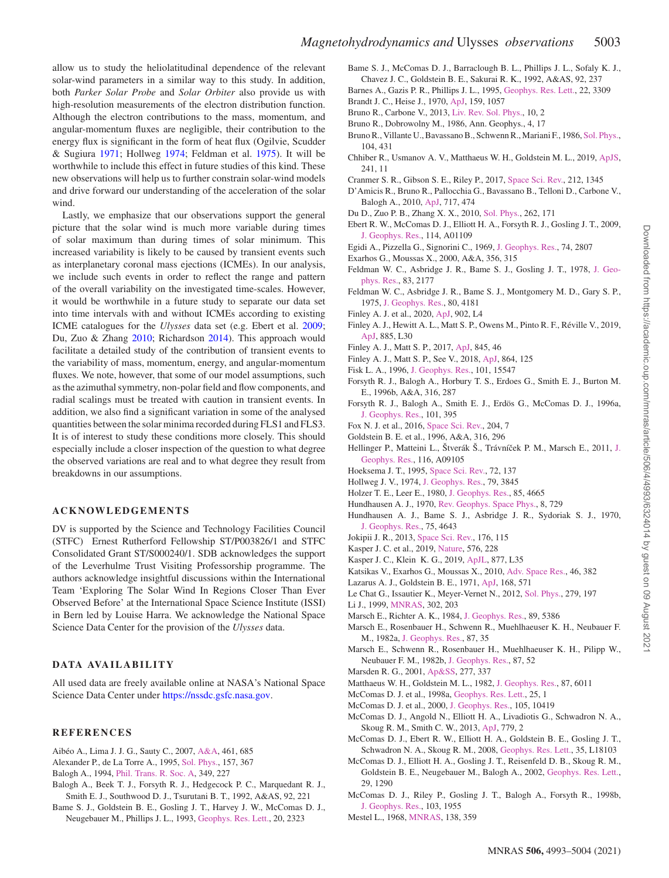allow us to study the heliolatitudinal dependence of the relevant solar-wind parameters in a similar way to this study. In addition, both *Parker Solar Probe* and *Solar Orbiter* also provide us with high-resolution measurements of the electron distribution function. Although the electron contributions to the mass, momentum, and angular-momentum fluxes are negligible, their contribution to the energy flux is significant in the form of heat flux (Ogilvie, Scudder & Sugiura [1971;](#page-11-22) Hollweg [1974;](#page-10-51) Feldman et al. [1975\)](#page-10-52). It will be worthwhile to include this effect in future studies of this kind. These new observations will help us to further constrain solar-wind models and drive forward our understanding of the acceleration of the solar wind.

Lastly, we emphasize that our observations support the general picture that the solar wind is much more variable during times of solar maximum than during times of solar minimum. This increased variability is likely to be caused by transient events such as interplanetary coronal mass ejections (ICMEs). In our analysis, we include such events in order to reflect the range and pattern of the overall variability on the investigated time-scales. However, it would be worthwhile in a future study to separate our data set into time intervals with and without ICMEs according to existing ICME catalogues for the *Ulysses* data set (e.g. Ebert et al. [2009;](#page-10-7) Du, Zuo & Zhang [2010;](#page-10-53) Richardson [2014\)](#page-11-23). This approach would facilitate a detailed study of the contribution of transient events to the variability of mass, momentum, energy, and angular-momentum fluxes. We note, however, that some of our model assumptions, such as the azimuthal symmetry, non-polar field and flow components, and radial scalings must be treated with caution in transient events. In addition, we also find a significant variation in some of the analysed quantities between the solar minima recorded during FLS1 and FLS3. It is of interest to study these conditions more closely. This should especially include a closer inspection of the question to what degree the observed variations are real and to what degree they result from breakdowns in our assumptions.

#### **ACKNOWLEDGEMENTS**

DV is supported by the Science and Technology Facilities Council (STFC) Ernest Rutherford Fellowship ST/P003826/1 and STFC Consolidated Grant ST/S000240/1. SDB acknowledges the support of the Leverhulme Trust Visiting Professorship programme. The authors acknowledge insightful discussions within the International Team 'Exploring The Solar Wind In Regions Closer Than Ever Observed Before' at the International Space Science Institute (ISSI) in Bern led by Louise Harra. We acknowledge the National Space Science Data Center for the provision of the *Ulysses* data.

# **DATA AVAILABILITY**

All used data are freely available online at NASA's National Space Science Data Center under [https://nssdc.gsfc.nasa.gov.](https://nssdc.gsfc.nasa.gov)

# **REFERENCES**

- <span id="page-10-43"></span>Aibéo A., Lima J. J. G., Sauty C., 2007, [A&A,](http://dx.doi.org/10.1051/0004-6361:20065123) 461, 685
- <span id="page-10-34"></span>Alexander P., de La Torre A., 1995, [Sol. Phys.,](http://dx.doi.org/10.1007/BF00680627) 157, 367
- <span id="page-10-0"></span>Balogh A., 1994, [Phil. Trans. R. Soc. A,](http://dx.doi.org/10.1098/rsta.1994.0127) 349, 227
- <span id="page-10-19"></span>Balogh A., Beek T. J., Forsyth R. J., Hedgecock P. C., Marquedant R. J., Smith E. J., Southwood D. J., Tsurutani B. T., 1992, A&AS, 92, 221
- <span id="page-10-49"></span>Bame S. J., Goldstein B. E., Gosling J. T., Harvey J. W., McComas D. J., Neugebauer M., Phillips J. L., 1993, [Geophys. Res. Lett.,](http://dx.doi.org/10.1029/93GL02630) 20, 2323
- <span id="page-10-18"></span>Bame S. J., McComas D. J., Barraclough B. L., Phillips J. L., Sofaly K. J., Chavez J. C., Goldstein B. E., Sakurai R. K., 1992, A&AS, 92, 237
- <span id="page-10-3"></span>Barnes A., Gazis P. R., Phillips J. L., 1995, [Geophys. Res. Lett.,](http://dx.doi.org/10.1029/95GL03532) 22, 3309
- <span id="page-10-8"></span>Brandt J. C., Heise J., 1970, [ApJ,](http://dx.doi.org/10.1086/150383) 159, 1057
- <span id="page-10-17"></span>Bruno R., Carbone V., 2013, [Liv. Rev. Sol. Phys.,](http://dx.doi.org/10.12942/lrsp-2013-2) 10, 2
- <span id="page-10-15"></span>Bruno R., Dobrowolny M., 1986, Ann. Geophys., 4, 17
- <span id="page-10-2"></span>Bruno R., Villante U., Bavassano B., Schwenn R., Mariani F., 1986, [Sol. Phys.,](http://dx.doi.org/10.1007/BF00159093) 104, 431
- <span id="page-10-48"></span>Chhiber R., Usmanov A. V., Matthaeus W. H., Goldstein M. L., 2019, [ApJS,](http://dx.doi.org/10.3847/1538-4365/ab0652) 241, 11
- <span id="page-10-25"></span>Cranmer S. R., Gibson S. E., Riley P., 2017, [Space Sci. Rev.,](http://dx.doi.org/10.1007/s11214-017-0416-y) 212, 1345
- <span id="page-10-16"></span>D'Amicis R., Bruno R., Pallocchia G., Bavassano B., Telloni D., Carbone V., Balogh A., 2010, [ApJ,](http://dx.doi.org/10.1088/0004-637X/717/1/474) 717, 474
- <span id="page-10-53"></span>Du D., Zuo P. B., Zhang X. X., 2010, [Sol. Phys.,](http://dx.doi.org/10.1007/s11207-009-9505-8) 262, 171
- <span id="page-10-7"></span>Ebert R. W., McComas D. J., Elliott H. A., Forsyth R. J., Gosling J. T., 2009, [J. Geophys. Res.,](http://dx.doi.org/10.1029/2008JA013631) 114, A01109
- <span id="page-10-35"></span>Egidi A., Pizzella G., Signorini C., 1969, [J. Geophys. Res.,](http://dx.doi.org/10.1029/JA074i011p02807) 74, 2807
- <span id="page-10-45"></span>Exarhos G., Moussas X., 2000, A&A, 356, 315
- <span id="page-10-24"></span>Fel[dman W. C., Asbridge J. R., Bame S. J., Gosling J. T., 1978,](http://dx.doi.org/10.1029/JA083iA05p02177) J. Geophys. Res., 83, 2177
- <span id="page-10-52"></span>Feldman W. C., Asbridge J. R., Bame S. J., Montgomery M. D., Gary S. P., 1975, [J. Geophys. Res.,](http://dx.doi.org/10.1029/JA080i031p04181) 80, 4181
- <span id="page-10-41"></span>Finley A. J. et al., 2020, [ApJ,](http://dx.doi.org/10.3847/2041-8213/abb9a5) 902, L4
- <span id="page-10-38"></span>Finley A. J., Hewitt A. L., Matt S. P., Owens M., Pinto R. F., Réville V., 2019, [ApJ,](http://dx.doi.org/10.3847/2041-8213/ab4ff4) 885, L30
- <span id="page-10-42"></span>Finley A. J., Matt S. P., 2017, [ApJ,](http://dx.doi.org/10.3847/1538-4357/aa7fb9) 845, 46
- <span id="page-10-26"></span>Finley A. J., Matt S. P., See V., 2018, [ApJ,](http://dx.doi.org/10.3847/1538-4357/aad7b6) 864, 125
- <span id="page-10-37"></span>Fisk L. A., 1996, [J. Geophys. Res.,](http://dx.doi.org/10.1029/96JA01005) 101, 15547
- <span id="page-10-27"></span>Forsyth R. J., Balogh A., Horbury T. S., Erdoes G., Smith E. J., Burton M. E., 1996b, A&A, 316, 287
- <span id="page-10-36"></span>Forsyth R. J., Balogh A., Smith E. J., Erdös G., McComas D. J., 1996a, [J. Geophys. Res.,](http://dx.doi.org/10.1029/95JA02977) 101, 395
- <span id="page-10-11"></span>Fox N. J. et al., 2016, [Space Sci. Rev.,](http://dx.doi.org/10.1007/s11214-015-0211-6) 204, 7
- <span id="page-10-28"></span>Goldstein B. E. et al., 1996, A&A, 316, 296
- <span id="page-10-22"></span>Hellinger P., Matteini L., Štverák Š., Trávníček P. M., Marsch E., 2011, J. Geophys. Res., 116, A09105
- <span id="page-10-50"></span>Hoeksema J. T., 1995, [Space Sci. Rev.,](http://dx.doi.org/10.1007/BF00768770) 72, 137
- <span id="page-10-51"></span>Hollweg J. V., 1974, [J. Geophys. Res.,](http://dx.doi.org/10.1029/JA079i025p03845) 79, 3845
- <span id="page-10-30"></span>Holzer T. E., Leer E., 1980, [J. Geophys. Res.,](http://dx.doi.org/10.1029/JA085iA09p04665) 85, 4665
- <span id="page-10-39"></span>Hundhausen A. J., 1970, [Rev. Geophys. Space Phys.,](http://dx.doi.org/10.1029/RG008i004p00729) 8, 729
- <span id="page-10-9"></span>Hundhausen A. J., Bame S. J., Asbridge J. R., Sydoriak S. J., 1970, [J. Geophys. Res.,](http://dx.doi.org/10.1029/JA075i025p04643) 75, 4643
- <span id="page-10-32"></span>Jokipii J. R., 2013, [Space Sci. Rev.,](http://dx.doi.org/10.1007/s11214-012-9914-0) 176, 115
- <span id="page-10-40"></span>Kasper J. C. et al., 2019, [Nature,](http://dx.doi.org/10.1038/s41586-019-1813-z) 576, 228
- <span id="page-10-47"></span>Kasper J. C., Klein K. G., 2019, [ApJL,](http://dx.doi.org/ 10.3847/2041-8213/ab1de5) 877, L35
- <span id="page-10-46"></span>Katsikas V., Exarhos G., Moussas X., 2010, [Adv. Space Res.,](http://dx.doi.org/ 10.1016/j.asr.2010.05.003) 46, 382
- <span id="page-10-10"></span>Lazarus A. J., Goldstein B. E., 1971, [ApJ,](http://dx.doi.org/10.1086/151110) 168, 571
- <span id="page-10-33"></span>Le Chat G., Issautier K., Meyer-Vernet N., 2012, [Sol. Phys.,](http://dx.doi.org/10.1007/s11207-012-9967-y) 279, 197
- <span id="page-10-44"></span>Li J., 1999, [MNRAS,](http://dx.doi.org/10.1046/j.1365-8711.1999.02134.x) 302, 203
- <span id="page-10-12"></span>Marsch E., Richter A. K., 1984, [J. Geophys. Res.,](http://dx.doi.org/10.1029/JA089iA07p05386) 89, 5386
- <span id="page-10-31"></span>Marsch E., Rosenbauer H., Schwenn R., Muehlhaeuser K. H., Neubauer F. M., 1982a, [J. Geophys. Res.,](http://dx.doi.org/10.1029/JA087iA01p00035) 87, 35
- <span id="page-10-23"></span>Marsch E., Schwenn R., Rosenbauer H., Muehlhaeuser K. H., Pilipp W., Neubauer F. M., 1982b, [J. Geophys. Res.,](http://dx.doi.org/10.1029/JA087iA01p00052) 87, 52
- <span id="page-10-1"></span>Marsden R. G., 2001, [Ap&SS,](http://dx.doi.org/10.1023/A:1012260014646) 277, 337
- <span id="page-10-14"></span>Matthaeus W. H., Goldstein M. L., 1982, [J. Geophys. Res.,](http://dx.doi.org/10.1029/JA087iA08p06011) 87, 6011
- <span id="page-10-4"></span>McComas D. J. et al., 1998a, [Geophys. Res. Lett.,](http://dx.doi.org/10.1029/97GL03444) 25, 1
- <span id="page-10-6"></span>McComas D. J. et al., 2000, [J. Geophys. Res.,](http://dx.doi.org/10.1029/1999JA000383) 105, 10419
- <span id="page-10-29"></span>McComas D. J., Angold N., Elliott H. A., Livadiotis G., Schwadron N. A., Skoug R. M., Smith C. W., 2013, [ApJ,](http://dx.doi.org/10.1088/0004-637X/779/1/2) 779, 2
- <span id="page-10-20"></span>McComas D. J., Ebert R. W., Elliott H. A., Goldstein B. E., Gosling J. T., Schwadron N. A., Skoug R. M., 2008, [Geophys. Res. Lett.,](http://dx.doi.org/10.1029/2008GL034896) 35, L18103
- <span id="page-10-21"></span>McComas D. J., Elliott H. A., Gosling J. T., Reisenfeld D. B., Skoug R. M., Goldstein B. E., Neugebauer M., Balogh A., 2002, [Geophys. Res. Lett.,](http://dx.doi.org/10.1029/2001GL014164) 29, 1290
- <span id="page-10-5"></span>McComas D. J., Riley P., Gosling J. T., Balogh A., Forsyth R., 1998b, [J. Geophys. Res.,](http://dx.doi.org/10.1029/97JA01459) 103, 1955
- <span id="page-10-13"></span>Mestel L., 1968, [MNRAS,](http://dx.doi.org/10.1093/mnras/138.3.359) 138, 359